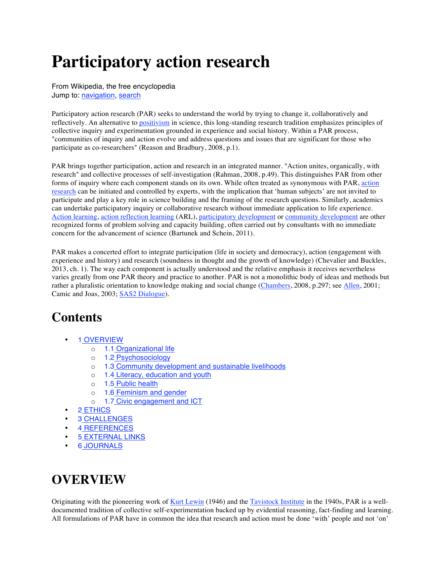# **Participatory action research**

From Wikipedia, the free encyclopedia Jump to: navigation, search

Participatory action research (PAR) seeks to understand the world by trying to change it, collaboratively and reflectively. An alternative to positivism in science, this long-standing research tradition emphasizes principles of collective inquiry and experimentation grounded in experience and social history. Within a PAR process, "communities of inquiry and action evolve and address questions and issues that are significant for those who participate as co-researchers" (Reason and Bradbury, 2008, p.1).

PAR brings together participation, action and research in an integrated manner. "Action unites, organically, with research" and collective processes of self-investigation (Rahman, 2008, p.49). This distinguishes PAR from other forms of inquiry where each component stands on its own. While often treated as synonymous with PAR, action research can be initiated and controlled by experts, with the implication that 'human subjects' are not invited to participate and play a key role in science building and the framing of the research questions. Similarly, academics can undertake participatory inquiry or collaborative research without immediate application to life experience. Action learning, action reflection learning (ARL), participatory development or community development are other recognized forms of problem solving and capacity building, often carried out by consultants with no immediate concern for the advancement of science (Bartunek and Schein, 2011).

PAR makes a concerted effort to integrate participation (life in society and democracy), action (engagement with experience and history) and research (soundness in thought and the growth of knowledge) (Chevalier and Buckles, 2013, ch. 1). The way each component is actually understood and the relative emphasis it receives nevertheless varies greatly from one PAR theory and practice to another. PAR is not a monolithic body of ideas and methods but rather a pluralistic orientation to knowledge making and social change (Chambers, 2008, p.297; see Allen, 2001; Camic and Joas, 2003; SAS2 Dialogue).

### **Contents**

- 1 OVERVIEW
	- o 1.1 Organizational life
	- o 1.2 Psychosociology
	- o 1.3 Community development and sustainable livelihoods
	- o 1.4 Literacy, education and youth
	- o 1.5 Public health
	- o 1.6 Feminism and gender
	- o 1.7 Civic engagement and ICT
- 2 ETHICS
- **3 CHALLENGES**
- 4 REFERENCES
- 5 EXTERNAL LINKS
- 6 JOURNALS

# **OVERVIEW**

Originating with the pioneering work of Kurt Lewin (1946) and the Tavistock Institute in the 1940s, PAR is a welldocumented tradition of collective self-experimentation backed up by evidential reasoning, fact-finding and learning. All formulations of PAR have in common the idea that research and action must be done 'with' people and not 'on'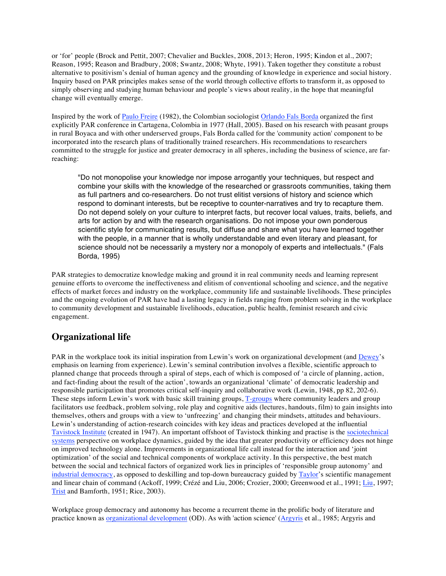or 'for' people (Brock and Pettit, 2007; Chevalier and Buckles, 2008, 2013; Heron, 1995; Kindon et al., 2007; Reason, 1995; Reason and Bradbury, 2008; Swantz, 2008; Whyte, 1991). Taken together they constitute a robust alternative to positivism's denial of human agency and the grounding of knowledge in experience and social history. Inquiry based on PAR principles makes sense of the world through collective efforts to transform it, as opposed to simply observing and studying human behaviour and people's views about reality, in the hope that meaningful change will eventually emerge.

Inspired by the work of Paulo Freire (1982), the Colombian sociologist Orlando Fals Borda organized the first explicitly PAR conference in Cartagena, Colombia in 1977 (Hall, 2005). Based on his research with peasant groups in rural Boyaca and with other underserved groups, Fals Borda called for the 'community action' component to be incorporated into the research plans of traditionally trained researchers. His recommendations to researchers committed to the struggle for justice and greater democracy in all spheres, including the business of science, are farreaching:

"Do not monopolise your knowledge nor impose arrogantly your techniques, but respect and combine your skills with the knowledge of the researched or grassroots communities, taking them as full partners and co-researchers. Do not trust elitist versions of history and science which respond to dominant interests, but be receptive to counter-narratives and try to recapture them. Do not depend solely on your culture to interpret facts, but recover local values, traits, beliefs, and arts for action by and with the research organisations. Do not impose your own ponderous scientific style for communicating results, but diffuse and share what you have learned together with the people, in a manner that is wholly understandable and even literary and pleasant, for science should not be necessarily a mystery nor a monopoly of experts and intellectuals." (Fals Borda, 1995)

PAR strategies to democratize knowledge making and ground it in real community needs and learning represent genuine efforts to overcome the ineffectiveness and elitism of conventional schooling and science, and the negative effects of market forces and industry on the workplace, community life and sustainable livelihoods. These principles and the ongoing evolution of PAR have had a lasting legacy in fields ranging from problem solving in the workplace to community development and sustainable livelihoods, education, public health, feminist research and civic engagement.

#### **Organizational life**

PAR in the workplace took its initial inspiration from Lewin's work on organizational development (and Dewey's emphasis on learning from experience). Lewin's seminal contribution involves a flexible, scientific approach to planned change that proceeds through a spiral of steps, each of which is composed of 'a circle of planning, action, and fact-finding about the result of the action', towards an organizational 'climate' of democratic leadership and responsible participation that promotes critical self-inquiry and collaborative work (Lewin, 1948, pp 82, 202-6). These steps inform Lewin's work with basic skill training groups, T-groups where community leaders and group facilitators use feedback, problem solving, role play and cognitive aids (lectures, handouts, film) to gain insights into themselves, others and groups with a view to 'unfreezing' and changing their mindsets, attitudes and behaviours. Lewin's understanding of action-research coincides with key ideas and practices developed at the influential Tavistock Institute (created in 1947). An important offshoot of Tavistock thinking and practise is the sociotechnical systems perspective on workplace dynamics, guided by the idea that greater productivity or efficiency does not hinge on improved technology alone. Improvements in organizational life call instead for the interaction and 'joint optimization' of the social and technical components of workplace activity. In this perspective, the best match between the social and technical factors of organized work lies in principles of 'responsible group autonomy' and industrial democracy, as opposed to deskilling and top-down bureaucracy guided by Taylor's scientific management and linear chain of command (Ackoff, 1999; Crézé and Liu, 2006; Crozier, 2000; Greenwood et al., 1991; Liu, 1997; Trist and Bamforth, 1951; Rice, 2003).

Workplace group democracy and autonomy has become a recurrent theme in the prolific body of literature and practice known as organizational development (OD). As with 'action science' (Argyris et al., 1985; Argyris and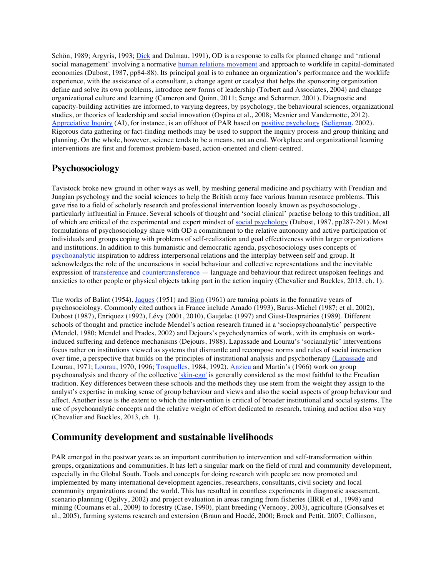Schön, 1989; Argyris, 1993; Dick and Dalmau, 1991), OD is a response to calls for planned change and 'rational social management' involving a normative human relations movement and approach to worklife in capital-dominated economies (Dubost, 1987, pp84-88). Its principal goal is to enhance an organization's performance and the worklife experience, with the assistance of a consultant, a change agent or catalyst that helps the sponsoring organization define and solve its own problems, introduce new forms of leadership (Torbert and Associates, 2004) and change organizational culture and learning (Cameron and Quinn, 2011; Senge and Scharmer, 2001). Diagnostic and capacity-building activities are informed, to varying degrees, by psychology, the behavioural sciences, organizational studies, or theories of leadership and social innovation (Ospina et al., 2008; Mesnier and Vandernotte, 2012). Appreciative Inquiry (AI), for instance, is an offshoot of PAR based on positive psychology (Seligman, 2002). Rigorous data gathering or fact-finding methods may be used to support the inquiry process and group thinking and planning. On the whole, however, science tends to be a means, not an end. Workplace and organizational learning interventions are first and foremost problem-based, action-oriented and client-centred.

#### **Psychosociology**

Tavistock broke new ground in other ways as well, by meshing general medicine and psychiatry with Freudian and Jungian psychology and the social sciences to help the British army face various human resource problems. This gave rise to a field of scholarly research and professional intervention loosely known as psychosociology, particularly influential in France. Several schools of thought and 'social clinical' practise belong to this tradition, all of which are critical of the experimental and expert mindset of social psychology (Dubost, 1987, pp287-291). Most formulations of psychosociology share with OD a commitment to the relative autonomy and active participation of individuals and groups coping with problems of self-realization and goal effectiveness within larger organizations and institutions. In addition to this humanistic and democratic agenda, psychosociology uses concepts of psychoanalytic inspiration to address interpersonal relations and the interplay between self and group. It acknowledges the role of the unconscious in social behaviour and collective representations and the inevitable expression of transference and countertransference — language and behaviour that redirect unspoken feelings and anxieties to other people or physical objects taking part in the action inquiry (Chevalier and Buckles, 2013, ch. 1).

The works of Balint (1954), Jaques (1951) and Bion (1961) are turning points in the formative years of psychosociology. Commonly cited authors in France include Amado (1993), Barus-Michel (1987; et al, 2002), Dubost (1987), Enriquez (1992), Lévy (2001, 2010), Gaujelac (1997) and Giust-Desprairies (1989). Different schools of thought and practice include Mendel's action research framed in a 'sociopsychoanalytic' perspective (Mendel, 1980; Mendel and Prades, 2002) and Dejours's psychodynamics of work, with its emphasis on workinduced suffering and defence mechanisms (Dejours, 1988). Lapassade and Lourau's 'socianalytic' interventions focus rather on institutions viewed as systems that dismantle and recompose norms and rules of social interaction over time, a perspective that builds on the principles of institutional analysis and psychotherapy (Lapassade and Lourau, 1971; Lourau, 1970, 1996; Tosquelles, 1984, 1992). Anzieu and Martin's (1966) work on group psychoanalysis and theory of the collective 'skin-ego' is generally considered as the most faithful to the Freudian tradition. Key differences between these schools and the methods they use stem from the weight they assign to the analyst's expertise in making sense of group behaviour and views and also the social aspects of group behaviour and affect. Another issue is the extent to which the intervention is critical of broader institutional and social systems. The use of psychoanalytic concepts and the relative weight of effort dedicated to research, training and action also vary (Chevalier and Buckles, 2013, ch. 1).

#### **Community development and sustainable livelihoods**

PAR emerged in the postwar years as an important contribution to intervention and self-transformation within groups, organizations and communities. It has left a singular mark on the field of rural and community development, especially in the Global South. Tools and concepts for doing research with people are now promoted and implemented by many international development agencies, researchers, consultants, civil society and local community organizations around the world. This has resulted in countless experiments in diagnostic assessment, scenario planning (Ogilvy, 2002) and project evaluation in areas ranging from fisheries (IIRR et al., 1998) and mining (Coumans et al., 2009) to forestry (Case, 1990), plant breeding (Vernooy, 2003), agriculture (Gonsalves et al., 2005), farming systems research and extension (Braun and Hocdé, 2000; Brock and Pettit, 2007; Collinson,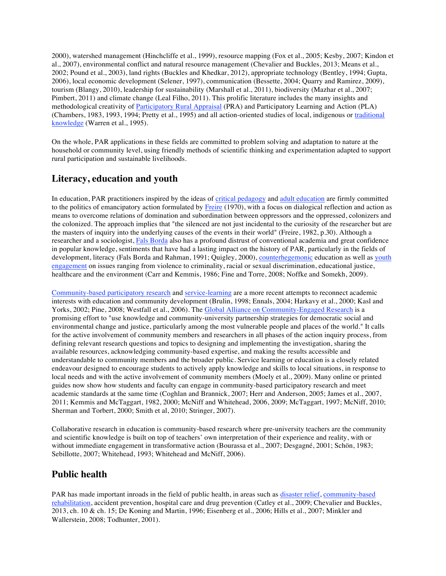2000), watershed management (Hinchcliffe et al., 1999), resource mapping (Fox et al., 2005; Kesby, 2007; Kindon et al., 2007), environmental conflict and natural resource management (Chevalier and Buckles, 2013; Means et al., 2002; Pound et al., 2003), land rights (Buckles and Khedkar, 2012), appropriate technology (Bentley, 1994; Gupta, 2006), local economic development (Selener, 1997), communication (Bessette, 2004; Quarry and Ramirez, 2009), tourism (Blangy, 2010), leadership for sustainability (Marshall et al., 2011), biodiversity (Mazhar et al., 2007; Pimbert, 2011) and climate change (Leal Filho, 2011). This prolific literature includes the many insights and methodological creativity of Participatory Rural Appraisal (PRA) and Participatory Learning and Action (PLA) (Chambers, 1983, 1993, 1994; Pretty et al., 1995) and all action-oriented studies of local, indigenous or traditional knowledge (Warren et al., 1995).

On the whole, PAR applications in these fields are committed to problem solving and adaptation to nature at the household or community level, using friendly methods of scientific thinking and experimentation adapted to support rural participation and sustainable livelihoods.

#### **Literacy, education and youth**

In education, PAR practitioners inspired by the ideas of critical pedagogy and adult education are firmly committed to the politics of emancipatory action formulated by Freire (1970), with a focus on dialogical reflection and action as means to overcome relations of domination and subordination between oppressors and the oppressed, colonizers and the colonized. The approach implies that "the silenced are not just incidental to the curiosity of the researcher but are the masters of inquiry into the underlying causes of the events in their world" (Freire, 1982, p.30). Although a researcher and a sociologist, Fals Borda also has a profound distrust of conventional academia and great confidence in popular knowledge, sentiments that have had a lasting impact on the history of PAR, particularly in the fields of development, literacy (Fals Borda and Rahman, 1991; Quigley, 2000), counterhegemonic education as well as youth engagement on issues ranging from violence to criminality, racial or sexual discrimination, educational justice, healthcare and the environment (Carr and Kemmis, 1986; Fine and Torre, 2008; Noffke and Somekh, 2009).

Community-based participatory research and service-learning are a more recent attempts to reconnect academic interests with education and community development (Brulin, 1998; Ennals, 2004; Harkavy et al., 2000; Kasl and Yorks, 2002; Pine, 2008; Westfall et al., 2006). The Global Alliance on Community-Engaged Research is a promising effort to "use knowledge and community-university partnership strategies for democratic social and environmental change and justice, particularly among the most vulnerable people and places of the world." It calls for the active involvement of community members and researchers in all phases of the action inquiry process, from defining relevant research questions and topics to designing and implementing the investigation, sharing the available resources, acknowledging community-based expertise, and making the results accessible and understandable to community members and the broader public. Service learning or education is a closely related endeavour designed to encourage students to actively apply knowledge and skills to local situations, in response to local needs and with the active involvement of community members (Moely et al., 2009). Many online or printed guides now show how students and faculty can engage in community-based participatory research and meet academic standards at the same time (Coghlan and Brannick, 2007; Herr and Anderson, 2005; James et al., 2007, 2011; Kemmis and McTaggart, 1982, 2000; McNiff and Whitehead, 2006, 2009; McTaggart, 1997; McNiff, 2010; Sherman and Torbert, 2000; Smith et al, 2010; Stringer, 2007).

Collaborative research in education is community-based research where pre-university teachers are the community and scientific knowledge is built on top of teachers' own interpretation of their experience and reality, with or without immediate engagement in transformative action (Bourassa et al., 2007; Desgagné, 2001; Schön, 1983; Sebillotte, 2007; Whitehead, 1993; Whitehead and McNiff, 2006).

#### **Public health**

PAR has made important inroads in the field of public health, in areas such as disaster relief, community-based rehabilitation, accident prevention, hospital care and drug prevention (Catley et al., 2009; Chevalier and Buckles, 2013, ch. 10 & ch. 15; De Koning and Martin, 1996; Eisenberg et al., 2006; Hills et al., 2007; Minkler and Wallerstein, 2008; Todhunter, 2001).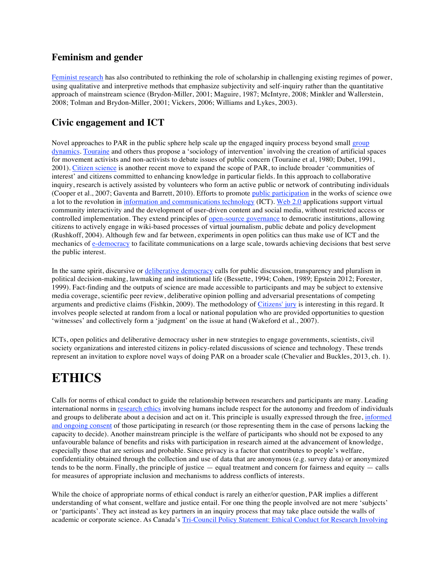#### **Feminism and gender**

Feminist research has also contributed to rethinking the role of scholarship in challenging existing regimes of power, using qualitative and interpretive methods that emphasize subjectivity and self-inquiry rather than the quantitative approach of mainstream science (Brydon-Miller, 2001; Maguire, 1987; McIntyre, 2008; Minkler and Wallerstein, 2008; Tolman and Brydon-Miller, 2001; Vickers, 2006; Williams and Lykes, 2003).

#### **Civic engagement and ICT**

Novel approaches to PAR in the public sphere help scale up the engaged inquiry process beyond small group dynamics. Touraine and others thus propose a 'sociology of intervention' involving the creation of artificial spaces for movement activists and non-activists to debate issues of public concern (Touraine et al, 1980; Dubet, 1991, 2001). Citizen science is another recent move to expand the scope of PAR, to include broader 'communities of interest' and citizens committed to enhancing knowledge in particular fields. In this approach to collaborative inquiry, research is actively assisted by volunteers who form an active public or network of contributing individuals (Cooper et al., 2007; Gaventa and Barrett, 2010). Efforts to promote public participation in the works of science owe a lot to the revolution in information and communications technology (ICT). Web 2.0 applications support virtual community interactivity and the development of user-driven content and social media, without restricted access or controlled implementation. They extend principles of open-source governance to democratic institutions, allowing citizens to actively engage in wiki-based processes of virtual journalism, public debate and policy development (Rushkoff, 2004). Although few and far between, experiments in open politics can thus make use of ICT and the mechanics of e-democracy to facilitate communications on a large scale, towards achieving decisions that best serve the public interest.

In the same spirit, discursive or deliberative democracy calls for public discussion, transparency and pluralism in political decision-making, lawmaking and institutional life (Bessette, 1994; Cohen, 1989; Epstein 2012; Forester, 1999). Fact-finding and the outputs of science are made accessible to participants and may be subject to extensive media coverage, scientific peer review, deliberative opinion polling and adversarial presentations of competing arguments and predictive claims (Fishkin, 2009). The methodology of Citizens' jury is interesting in this regard. It involves people selected at random from a local or national population who are provided opportunities to question 'witnesses' and collectively form a 'judgment' on the issue at hand (Wakeford et al., 2007).

ICTs, open politics and deliberative democracy usher in new strategies to engage governments, scientists, civil society organizations and interested citizens in policy-related discussions of science and technology. These trends represent an invitation to explore novel ways of doing PAR on a broader scale (Chevalier and Buckles, 2013, ch. 1).

# **ETHICS**

Calls for norms of ethical conduct to guide the relationship between researchers and participants are many. Leading international norms in research ethics involving humans include respect for the autonomy and freedom of individuals and groups to deliberate about a decision and act on it. This principle is usually expressed through the free, informed and ongoing consent of those participating in research (or those representing them in the case of persons lacking the capacity to decide). Another mainstream principle is the welfare of participants who should not be exposed to any unfavourable balance of benefits and risks with participation in research aimed at the advancement of knowledge, especially those that are serious and probable. Since privacy is a factor that contributes to people's welfare, confidentiality obtained through the collection and use of data that are anonymous (e.g. survey data) or anonymized tends to be the norm. Finally, the principle of justice — equal treatment and concern for fairness and equity — calls for measures of appropriate inclusion and mechanisms to address conflicts of interests.

While the choice of appropriate norms of ethical conduct is rarely an either/or question, PAR implies a different understanding of what consent, welfare and justice entail. For one thing the people involved are not mere 'subjects' or 'participants'. They act instead as key partners in an inquiry process that may take place outside the walls of academic or corporate science. As Canada's Tri-Council Policy Statement: Ethical Conduct for Research Involving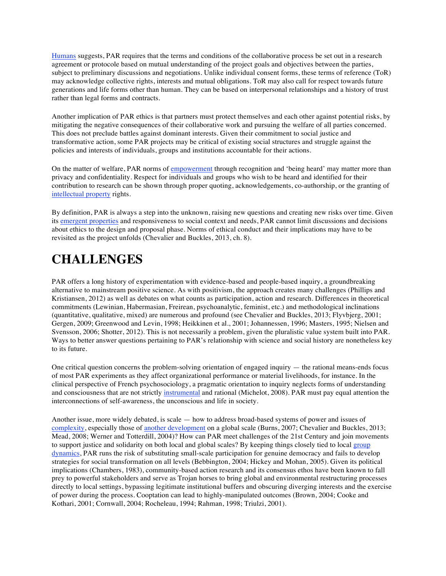Humans suggests, PAR requires that the terms and conditions of the collaborative process be set out in a research agreement or protocole based on mutual understanding of the project goals and objectives between the parties, subject to preliminary discussions and negotiations. Unlike individual consent forms, these terms of reference (ToR) may acknowledge collective rights, interests and mutual obligations. ToR may also call for respect towards future generations and life forms other than human. They can be based on interpersonal relationships and a history of trust rather than legal forms and contracts.

Another implication of PAR ethics is that partners must protect themselves and each other against potential risks, by mitigating the negative consequences of their collaborative work and pursuing the welfare of all parties concerned. This does not preclude battles against dominant interests. Given their commitment to social justice and transformative action, some PAR projects may be critical of existing social structures and struggle against the policies and interests of individuals, groups and institutions accountable for their actions.

On the matter of welfare, PAR norms of empowerment through recognition and 'being heard' may matter more than privacy and confidentiality. Respect for individuals and groups who wish to be heard and identified for their contribution to research can be shown through proper quoting, acknowledgements, co-authorship, or the granting of intellectual property rights.

By definition, PAR is always a step into the unknown, raising new questions and creating new risks over time. Given its emergent properties and responsiveness to social context and needs, PAR cannot limit discussions and decisions about ethics to the design and proposal phase. Norms of ethical conduct and their implications may have to be revisited as the project unfolds (Chevalier and Buckles, 2013, ch. 8).

# **CHALLENGES**

PAR offers a long history of experimentation with evidence-based and people-based inquiry, a groundbreaking alternative to mainstream positive science. As with positivism, the approach creates many challenges (Phillips and Kristiansen, 2012) as well as debates on what counts as participation, action and research. Differences in theoretical commitments (Lewinian, Habermasian, Freirean, psychoanalytic, feminist, etc.) and methodological inclinations (quantitative, qualitative, mixed) are numerous and profound (see Chevalier and Buckles, 2013; Flyvbjerg, 2001; Gergen, 2009; Greenwood and Levin, 1998; Heikkinen et al., 2001; Johannessen, 1996; Masters, 1995; Nielsen and Svensson, 2006; Shotter, 2012). This is not necessarily a problem, given the pluralistic value system built into PAR. Ways to better answer questions pertaining to PAR's relationship with science and social history are nonetheless key to its future.

One critical question concerns the problem-solving orientation of engaged inquiry — the rational means-ends focus of most PAR experiments as they affect organizational performance or material livelihoods, for instance. In the clinical perspective of French psychosociology, a pragmatic orientation to inquiry neglects forms of understanding and consciousness that are not strictly instrumental and rational (Michelot, 2008). PAR must pay equal attention the interconnections of self-awareness, the unconscious and life in society.

Another issue, more widely debated, is scale — how to address broad-based systems of power and issues of complexity, especially those of another development on a global scale (Burns, 2007; Chevalier and Buckles, 2013; Mead, 2008; Werner and Totterdill, 2004)? How can PAR meet challenges of the 21st Century and join movements to support justice and solidarity on both local and global scales? By keeping things closely tied to local group dynamics, PAR runs the risk of substituting small-scale participation for genuine democracy and fails to develop strategies for social transformation on all levels (Bebbington, 2004; Hickey and Mohan, 2005). Given its political implications (Chambers, 1983), community-based action research and its consensus ethos have been known to fall prey to powerful stakeholders and serve as Trojan horses to bring global and environmental restructuring processes directly to local settings, bypassing legitimate institutional buffers and obscuring diverging interests and the exercise of power during the process. Cooptation can lead to highly-manipulated outcomes (Brown, 2004; Cooke and Kothari, 2001; Cornwall, 2004; Rocheleau, 1994; Rahman, 1998; Triulzi, 2001).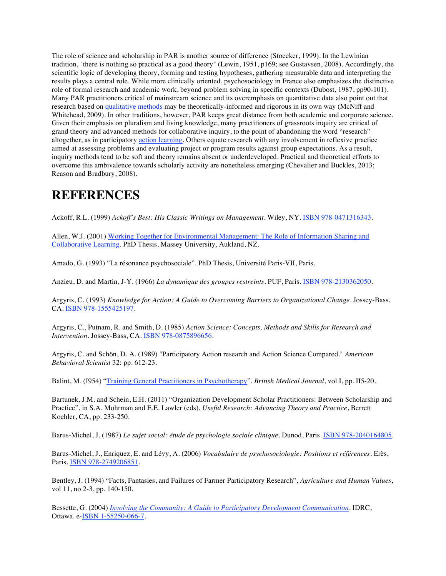The role of science and scholarship in PAR is another source of difference (Stoecker, 1999). In the Lewinian tradition, "there is nothing so practical as a good theory" (Lewin, 1951, p169; see Gustavsen, 2008). Accordingly, the scientific logic of developing theory, forming and testing hypotheses, gathering measurable data and interpreting the results plays a central role. While more clinically oriented, psychosociology in France also emphasizes the distinctive role of formal research and academic work, beyond problem solving in specific contexts (Dubost, 1987, pp90-101). Many PAR practitioners critical of mainstream science and its overemphasis on quantitative data also point out that research based on qualitative methods may be theoretically-informed and rigorous in its own way (McNiff and Whitehead, 2009). In other traditions, however, PAR keeps great distance from both academic and corporate science. Given their emphasis on pluralism and living knowledge, many practitioners of grassroots inquiry are critical of grand theory and advanced methods for collaborative inquiry, to the point of abandoning the word "research" altogether, as in participatory action learning. Others equate research with any involvement in reflexive practice aimed at assessing problems and evaluating project or program results against group expectations. As a result, inquiry methods tend to be soft and theory remains absent or underdeveloped. Practical and theoretical efforts to overcome this ambivalence towards scholarly activity are nonetheless emerging (Chevalier and Buckles, 2013; Reason and Bradbury, 2008).

### **REFERENCES**

Ackoff, R.L. (1999) *Ackoff's Best: His Classic Writings on Management*. Wiley, NY. ISBN 978-0471316343.

Allen, W.J. (2001) Working Together for Environmental Management: The Role of Information Sharing and Collaborative Learning. PhD Thesis, Massey University, Aukland, NZ.

Amado, G. (1993) "La résonance psychosociale". PhD Thesis, Université Paris-VII, Paris.

Anzieu, D. and Martin, J-Y. (1966) *La dynamique des groupes restreints*. PUF, Paris. ISBN 978-2130362050.

Argyris, C. (1993) *Knowledge for Action: A Guide to Overcoming Barriers to Organizational Change*. Jossey-Bass, CA. ISBN 978-1555425197.

Argyris, C., Putnam, R. and Smith, D. (1985) *Action Science: Concepts, Methods and Skills for Research and Intervention*. Jossey-Bass, CA. ISBN 978-0875896656.

Argyris, C. and Schön, D. A. (1989) "Participatory Action research and Action Science Compared." *American Behavioral Scientist* 32: pp. 612-23.

Balint, M. (I954) "Training General Practitioners in Psychotherapy". *British Medical Journal*, vol I, pp. II5-20.

Bartunek, J.M. and Schein, E.H. (2011) "Organization Development Scholar Practitioners: Between Scholarship and Practice", in S.A. Mohrman and E.E. Lawler (eds), *Useful Research: Advancing Theory and Practice*, Berrett Koehler, CA, pp. 233-250.

Barus-Michel, J. (1987) *Le sujet social: étude de psychologie sociale clinique*. Dunod, Paris. ISBN 978-2040164805.

Barus-Michel, J., Enriquez, E. and Lévy, A. (2006) *Vocabulaire de psychosociologie: Positions et références*. Erès, Paris. ISBN 978-2749206851.

Bentley, J. (1994) "Facts, Fantasies, and Failures of Farmer Participatory Research", *Agriculture and Human Values*, vol 11, no 2-3, pp. 140-150.

Bessette, G. (2004) *Involving the Community: A Guide to Participatory Development Communication*. IDRC, Ottawa. e-ISBN 1-55250-066-7.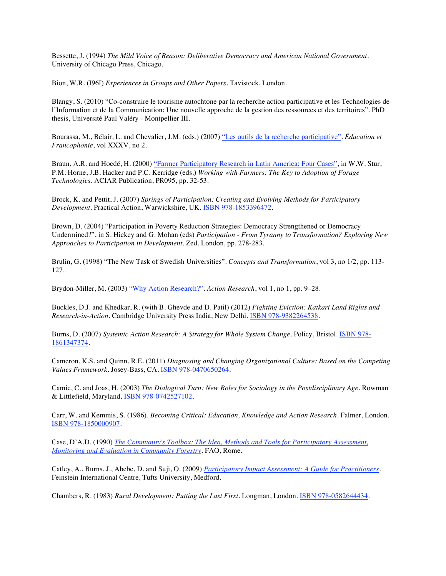Bessette, J. (1994) *The Mild Voice of Reason: Deliberative Democracy and American National Government*. University of Chicago Press, Chicago.

Bion, W.R. (I96I) *Experiences in Groups and Other Papers*. Tavistock, London.

Blangy, S. (2010) "Co-construire le tourisme autochtone par la recherche action participative et les Technologies de l'Information et de la Communication: Une nouvelle approche de la gestion des ressources et des territoires". PhD thesis, Université Paul Valéry - Montpellier III.

Bourassa, M., Bélair, L. and Chevalier, J.M. (eds.) (2007) "Les outils de la recherche participative". *Éducation et Francophonie*, vol XXXV, no 2.

Braun, A.R. and Hocdé, H. (2000) "Farmer Participatory Research in Latin America: Four Cases", in W.W. Stur, P.M. Horne, J.B. Hacker and P.C. Kerridge (eds.) *Working with Farmers: The Key to Adoption of Forage Technologies*. ACIAR Publication, PR095, pp. 32-53.

Brock, K. and Pettit, J. (2007) *Springs of Participation: Creating and Evolving Methods for Participatory Development*. Practical Action, Warwickshire, UK. ISBN 978-1853396472.

Brown, D. (2004) "Participation in Poverty Reduction Strategies: Democracy Strengthened or Democracy Undermined?", in S. Hickey and G. Mohan (eds) *Participation - From Tyranny to Transformation? Exploring New Approaches to Participation in Development*. Zed, London, pp. 278-283.

Brulin, G. (1998) "The New Task of Swedish Universities". *Concepts and Transformation*, vol 3, no 1/2, pp. 113- 127.

Brydon-Miller, M. (2003) "Why Action Research?". *Action Research*, vol 1, no 1, pp. 9–28.

Buckles, D.J. and Khedkar, R. (with B. Ghevde and D. Patil) (2012) *Fighting Eviction: Katkari Land Rights and Research-in-Action*. Cambridge University Press India, New Delhi. ISBN 978-9382264538.

Burns, D. (2007) *Systemic Action Research: A Strategy for Whole System Change*. Policy, Bristol. ISBN 978- 1861347374.

Cameron, K.S. and Quinn, R.E. (2011) *Diagnosing and Changing Organizational Culture: Based on the Competing Values Framework*. Josey-Bass, CA. ISBN 978-0470650264.

Camic, C. and Joas, H. (2003) *The Dialogical Turn: New Roles for Sociology in the Postdisciplinary Age*. Rowman & Littlefield, Maryland. ISBN 978-0742527102.

Carr, W. and Kemmis, S. (1986). *Becoming Critical: Education, Knowledge and Action Research*. Falmer, London. ISBN 978-1850000907.

Case, D'A.D. (1990) *The Community's Toolbox: The Idea, Methods and Tools for Participatory Assessment, Monitoring and Evaluation in Community Forestry*. FAO, Rome.

Catley, A., Burns, J., Abebe, D. and Suji, O. (2009) *Participatory Impact Assessment: A Guide for Practitioners*. Feinstein International Centre, Tufts University, Medford.

Chambers, R. (1983) *Rural Development: Putting the Last First*. Longman, London. ISBN 978-0582644434.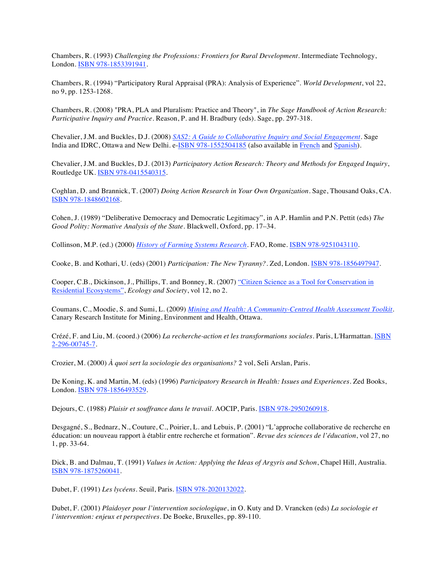Chambers, R. (1993) *Challenging the Professions: Frontiers for Rural Development*. Intermediate Technology, London. ISBN 978-1853391941.

Chambers, R. (1994) "Participatory Rural Appraisal (PRA): Analysis of Experience". *World Development*, vol 22, no 9, pp. 1253-1268.

Chambers, R. (2008) "PRA, PLA and Pluralism: Practice and Theory", in *The Sage Handbook of Action Research: Participative Inquiry and Practice*. Reason, P. and H. Bradbury (eds). Sage, pp. 297-318.

Chevalier, J.M. and Buckles, D.J. (2008) *SAS2: A Guide to Collaborative Inquiry and Social Engagement*. Sage India and IDRC, Ottawa and New Delhi. e-ISBN 978-1552504185 (also available in French and Spanish).

Chevalier, J.M. and Buckles, D.J. (2013) *Participatory Action Research: Theory and Methods for Engaged Inquiry*, Routledge UK. ISBN 978-0415540315.

Coghlan, D. and Brannick, T. (2007) *Doing Action Research in Your Own Organization*. Sage, Thousand Oaks, CA. ISBN 978-1848602168.

Cohen, J. (1989) "Deliberative Democracy and Democratic Legitimacy", in A.P. Hamlin and P.N. Pettit (eds) *The Good Polity: Normative Analysis of the State*. Blackwell, Oxford, pp. 17–34.

Collinson, M.P. (ed.) (2000) *History of Farming Systems Research*. FAO, Rome. ISBN 978-9251043110.

Cooke, B. and Kothari, U. (eds) (2001) *Participation: The New Tyranny?*. Zed, London. ISBN 978-1856497947.

Cooper, C.B., Dickinson, J., Phillips, T. and Bonney, R. (2007) "Citizen Science as a Tool for Conservation in Residential Ecosystems", *Ecology and Society*, vol 12, no 2.

Coumans, C., Moodie, S. and Sumi, L. (2009) *Mining and Health: A Community-Centred Health Assessment Toolkit*. Canary Research Institute for Mining, Environment and Health, Ottawa.

Crézé, F. and Liu, M. (coord.) (2006) *La recherche-action et les transformations sociales*. Paris, L'Harmattan. ISBN 2-296-00745-7.

Crozier, M. (2000) *À quoi sert la sociologie des organisations?* 2 vol, SeIi Arslan, Paris.

De Koning, K. and Martin, M. (eds) (1996) *Participatory Research in Health: Issues and Experiences*. Zed Books, London. ISBN 978-1856493529.

Dejours, C. (1988) *Plaisir et souffrance dans le travail*. AOCIP, Paris. ISBN 978-2950260918.

Desgagné, S., Bednarz, N., Couture, C., Poirier, L. and Lebuis, P. (2001) "L'approche collaborative de recherche en éducation: un nouveau rapport à établir entre recherche et formation". *Revue des sciences de l'éducation*, vol 27, no 1, pp. 33-64.

Dick, B. and Dalmau, T. (1991) *Values in Action: Applying the Ideas of Argyris and Schon*, Chapel Hill, Australia. ISBN 978-1875260041.

Dubet, F. (1991) *Les lycéens*. Seuil, Paris. ISBN 978-2020132022.

Dubet, F. (2001) *Plaidoyer pour l'intervention sociologique*, in O. Kuty and D. Vrancken (eds) *La sociologie et l'intervention: enjeux et perspectives*. De Boeke, Bruxelles, pp. 89-110.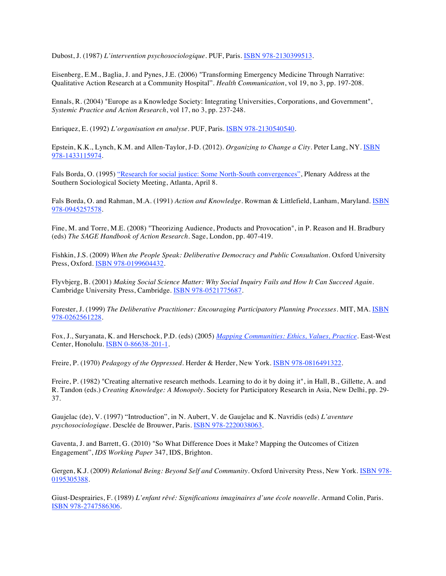Dubost, J. (1987) *L'intervention psychosociologique*. PUF, Paris. ISBN 978-2130399513.

Eisenberg, E.M., Baglia, J. and Pynes, J.E. (2006) "Transforming Emergency Medicine Through Narrative: Qualitative Action Research at a Community Hospital". *Health Communication*, vol 19, no 3, pp. 197-208.

Ennals, R. (2004) "Europe as a Knowledge Society: Integrating Universities, Corporations, and Government", *Systemic Practice and Action Research*, vol 17, no 3, pp. 237-248.

Enriquez, E. (1992) *L'organisation en analyse*. PUF, Paris. ISBN 978-2130540540.

Epstein, K.K., Lynch, K.M. and Allen-Taylor, J-D. (2012). *Organizing to Change a City*. Peter Lang, NY. ISBN 978-1433115974.

Fals Borda, O. (1995) "Research for social justice: Some North-South convergences", Plenary Address at the Southern Sociological Society Meeting, Atlanta, April 8.

Fals Borda, O. and Rahman, M.A. (1991) *Action and Knowledge*. Rowman & Littlefield, Lanham, Maryland. ISBN 978-0945257578.

Fine, M. and Torre, M.E. (2008) "Theorizing Audience, Products and Provocation", in P. Reason and H. Bradbury (eds) *The SAGE Handbook of Action Research*. Sage, London, pp. 407-419.

Fishkin, J.S. (2009) *When the People Speak: Deliberative Democracy and Public Consultation*. Oxford University Press, Oxford. ISBN 978-0199604432.

Flyvbjerg, B. (2001) *Making Social Science Matter: Why Social Inquiry Fails and How It Can Succeed Again*. Cambridge University Press, Cambridge. ISBN 978-0521775687.

Forester, J. (1999) *The Deliberative Practitioner: Encouraging Participatory Planning Processes*. MIT, MA. ISBN 978-0262561228.

Fox, J., Suryanata, K. and Herschock, P.D. (eds) (2005) *Mapping Communities: Ethics, Values, Practice*. East-West Center, Honolulu. **ISBN 0-86638-201-1.** 

Freire, P. (1970) *Pedagogy of the Oppressed*. Herder & Herder, New York. ISBN 978-0816491322.

Freire, P. (1982) "Creating alternative research methods. Learning to do it by doing it", in Hall, B., Gillette, A. and R. Tandon (eds.) *Creating Knowledge: A Monopoly*. Society for Participatory Research in Asia, New Delhi, pp. 29- 37.

Gaujelac (de), V. (1997) "Introduction", in N. Aubert, V. de Gaujelac and K. Navridis (eds) *L'aventure psychosociologique*. Desclée de Brouwer, Paris. ISBN 978-2220038063.

Gaventa, J. and Barrett, G. (2010) "So What Difference Does it Make? Mapping the Outcomes of Citizen Engagement", *IDS Working Paper* 347, IDS, Brighton.

Gergen, K.J. (2009) *Relational Being: Beyond Self and Community*. Oxford University Press, New York. ISBN 978- 0195305388.

Giust-Desprairies, F. (1989) *L'enfant rêvé: Significations imaginaires d'une école nouvelle*. Armand Colin, Paris. ISBN 978-2747586306.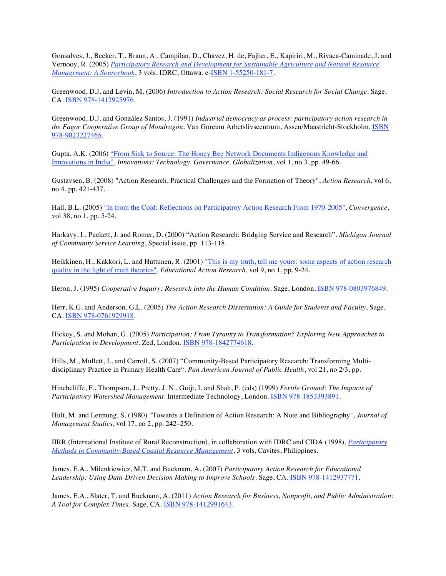Gonsalves, J., Becker, T., Braun, A., Campilan, D., Chavez, H. de, Fajber, E., Kapiriri, M., Rivaca-Caminade, J. and Vernooy, R. (2005) *Participatory Research and Development for Sustainable Agriculture and Natural Resource Management: A Sourcebook*, 3 vols. IDRC, Ottawa. e-ISBN 1-55250-181-7.

Greenwood, D.J. and Levin, M. (2006) *Introduction to Action Research: Social Research for Social Change*. Sage, CA. ISBN 978-1412925976.

Greenwood, D.J. and González Santos, J. (1991) *Industrial democracy as process: participatory action research in the Fagor Cooperative Group of Mondragón*. Van Gorcum Arbetslivscentrum, Assen/Maastricht-Stockholm. ISBN 978-9023227465.

Gupta, A.K. (2006) "From Sink to Source: The Honey Bee Network Documents Indigenous Knowledge and Innovations in India", *Innovations: Technology, Governance, Globalization*, vol 1, no 3, pp. 49-66.

Gustavsen, B. (2008) "Action Research, Practical Challenges and the Formation of Theory", *Action Research*, vol 6, no 4, pp. 421-437.

Hall, B.L. (2005) "In from the Cold: Reflections on Participatroy Action Research From 1970-2005", *Convergence*, vol 38, no 1, pp. 5-24.

Harkavy, I., Puckett, J. and Romer, D. (2000) "Action Research: Bridging Service and Research". *Michigan Journal of Community Service Learning*, Special issue, pp. 113-118.

Heikkinen, H., Kakkori, L. and Huttunen, R. (2001) "This is my truth, tell me yours: some aspects of action research quality in the light of truth theories", *Educational Action Research*, vol 9, no 1, pp. 9-24.

Heron, J. (1995) *Cooperative Inquiry: Research into the Human Condition*. Sage, London. ISBN 978-0803976849.

Herr, K.G. and Anderson, G.L. (2005) *The Action Research Dissertation: A Guide for Students and Faculty*, Sage, CA. ISBN 978-0761929918.

Hickey, S. and Mohan, G. (2005) *Participation: From Tyranny to Transformation? Exploring New Approaches to Participation in Development.* Zed, London. ISBN 978-1842774618.

Hills, M., Mullett, J., and Carroll, S. (2007) "Community-Based Participatory Research: Transforming Multidisciplinary Practice in Primary Health Care". *Pan American Journal of Public Health*, vol 21, no 2/3, pp.

Hinchcliffe, F., Thompson, J., Pretty, J. N., Guijt, I. and Shah, P. (eds) (1999) *Fertile Ground: The Impacts of Participatory Watershed Management*. Intermediate Technology, London. ISBN 978-1853393891.

Hult, M. and Lennung, S. (1980) "Towards a Definition of Action Research: A Note and Bibliography", *Journal of Management Studies*, vol 17, no 2, pp. 242–250.

IIRR (International Institute of Rural Reconstruction), in collaboration with IDRC and CIDA (1998), *Participatory Methods in Community-Based Coastal Resource Management*, 3 vols, Cavites, Philippines.

James, E.A., Milenkiewicz, M.T. and Bucknam, A. (2007) *Participatory Action Research for Educational Leadership: Using Data-Driven Decision Making to Improve Schools*. Sage, CA. ISBN 978-1412937771.

James, E.A., Slater, T. and Bucknam, A. (2011) *Action Research for Business, Nonprofit, and Public Administration: A Tool for Complex Times*. Sage, CA. ISBN 978-1412991643.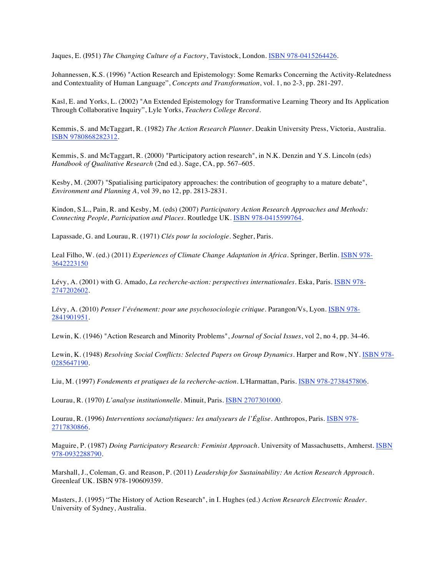Jaques, E. (I951) *The Changing Culture of a Factory*, Tavistock, London. ISBN 978-0415264426.

Johannessen, K.S. (1996) "Action Research and Epistemology: Some Remarks Concerning the Activity-Relatedness and Contextuality of Human Language", *Concepts and Transformation*, vol. 1, no 2-3, pp. 281-297.

Kasl, E. and Yorks, L. (2002) "An Extended Epistemology for Transformative Learning Theory and Its Application Through Collaborative Inquiry", Lyle Yorks, *Teachers College Record*.

Kemmis, S. and McTaggart, R. (1982) *The Action Research Planner*. Deakin University Press, Victoria, Australia. ISBN 9780868282312.

Kemmis, S. and McTaggart, R. (2000) "Participatory action research", in N.K. Denzin and Y.S. Lincoln (eds) *Handbook of Qualitative Research* (2nd ed.). Sage, CA, pp. 567–605.

Kesby, M. (2007) "Spatialising participatory approaches: the contribution of geography to a mature debate", *Environment and Planning A*, vol 39, no 12, pp. 2813-2831.

Kindon, S.L., Pain, R. and Kesby, M. (eds) (2007) *Participatory Action Research Approaches and Methods: Connecting People, Participation and Places*. Routledge UK. ISBN 978-0415599764.

Lapassade, G. and Lourau, R. (1971) *Clés pour la sociologie*. Segher, Paris.

Leal Filho, W. (ed.) (2011) *Experiences of Climate Change Adaptation in Africa*. Springer, Berlin. ISBN 978- 3642223150

Lévy, A. (2001) with G. Amado, *La recherche-action: perspectives internationales*. Eska, Paris. ISBN 978- 2747202602.

Lévy, A. (2010) *Penser l'événement: pour une psychosociologie critique*. Parangon/Vs, Lyon. ISBN 978- 2841901951.

Lewin, K. (1946) "Action Research and Minority Problems", *Journal of Social Issues*, vol 2, no 4, pp. 34-46.

Lewin, K. (1948) *Resolving Social Conflicts: Selected Papers on Group Dynamics*. Harper and Row, NY. ISBN 978- 0285647190.

Liu, M. (1997) *Fondements et pratiques de la recherche-action*. L'Harmattan, Paris. ISBN 978-2738457806.

Lourau, R. (1970) *L'analyse institutionnelle*. Minuit, Paris. **ISBN 2707301000**.

Lourau, R. (1996) *Interventions socianalytiques: les analyseurs de l'Église*. Anthropos, Paris. ISBN 978- 2717830866.

Maguire, P. (1987) *Doing Participatory Research: Feminist Approach*. University of Massachusetts, Amherst. ISBN 978-0932288790.

Marshall, J., Coleman, G. and Reason, P. (2011) *Leadership for Sustainability: An Action Research Approach*. Greenleaf UK. ISBN 978-190609359.

Masters, J. (1995) "The History of Action Research", in I. Hughes (ed.) *Action Research Electronic Reader*. University of Sydney, Australia.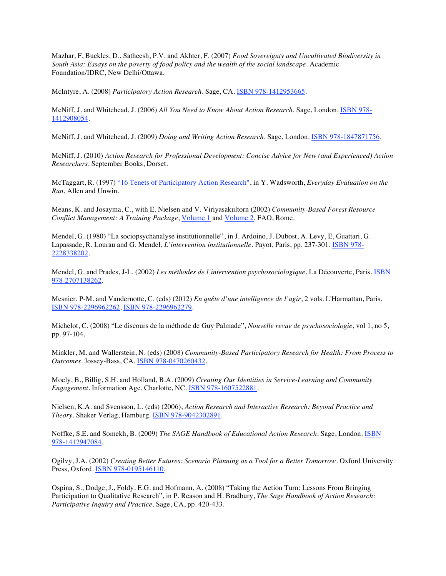Mazhar, F, Buckles, D., Satheesh, P.V. and Akhter, F. (2007) *Food Sovereignty and Uncultivated Biodiversity in South Asia: Essays on the poverty of food policy and the wealth of the social landscape*. Academic Foundation/IDRC, New Delhi/Ottawa.

McIntyre, A. (2008) *Participatory Action Research*. Sage, CA. ISBN 978-1412953665.

McNiff, J. and Whitehead, J. (2006) *All You Need to Know About Action Research*. Sage, London. ISBN 978- 1412908054.

McNiff, J. and Whitehead, J. (2009) *Doing and Writing Action Research*. Sage, London. ISBN 978-1847871756.

McNiff, J. (2010) *Action Research for Professional Development: Concise Advice for New (and Experienced) Action Researchers*. September Books, Dorset.

McTaggart, R. (1997) "16 Tenets of Participatory Action Research", in Y. Wadsworth, *Everyday Evaluation on the Run*, Allen and Unwin.

Means, K. and Josayma, C., with E. Nielsen and V. Viriyasakultorn (2002) *Community-Based Forest Resource Conflict Management: A Training Package*, Volume 1 and Volume 2. FAO, Rome.

Mendel, G. (1980) "La sociopsychanalyse institutionnelle'', in J. Ardoino, J. Dubost, A. Levy, E, Guattari, G. Lapassade, R. Lourau and G. Mendel, *L'intervention institutionnelle*. Payot, Paris, pp. 237-301. ISBN 978- 2228338202.

Mendel, G. and Prades, J-L. (2002) *Les méthodes de l'intervention psychosociologique*. La Découverte, Paris. ISBN 978-2707138262.

Mesnier, P-M. and Vandernotte, C. (eds) (2012) *En quête d'une intelligence de l'agir*, 2 vols. L'Harmattan, Paris. ISBN 978-2296962262, ISBN 978-2296962279.

Michelot, C. (2008) "Le discours de la méthode de Guy Palmade", *Nouvelle revue de psychosociologie*, vol 1, no 5, pp. 97-104.

Minkler, M. and Wallerstein, N. (eds) (2008) *Community-Based Participatory Research for Health: From Process to Outcomes*. Jossey-Bass, CA. ISBN 978-0470260432.

Moely, B., Billig, S.H. and Holland, B.A. (2009) *Creating Our Identities in Service-Learning and Community Engagement*. Information Age, Charlotte, NC. ISBN 978-1607522881.

Nielsen, K.A. and Svensson, L. (eds) (2006), *Action Research and Interactive Research: Beyond Practice and Theory*. Shaker Verlag, Hamburg. ISBN 978-9042302891.

Noffke, S.E. and Somekh, B. (2009) *The SAGE Handbook of Educational Action Research*. Sage, London. ISBN 978-1412947084.

Ogilvy, J.A. (2002) *Creating Better Futures: Scenario Planning as a Tool for a Better Tomorrow*. Oxford University Press, Oxford. ISBN 978-0195146110.

Ospina, S., Dodge, J., Foldy, E.G. and Hofmann, A. (2008) "Taking the Action Turn: Lessons From Bringing Participation to Qualitative Research", in P. Reason and H. Bradbury, *The Sage Handbook of Action Research: Participative Inquiry and Practice*. Sage, CA, pp. 420-433.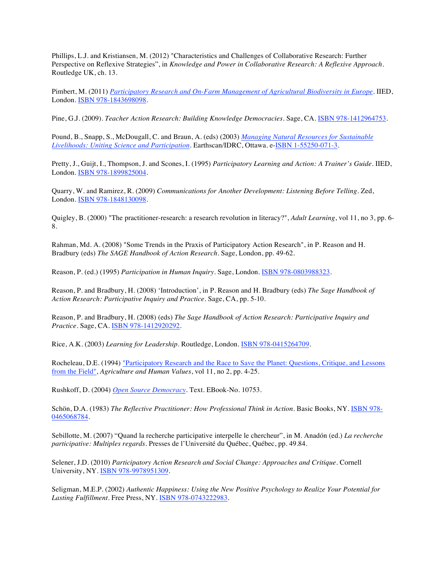Phillips, L.J. and Kristiansen, M. (2012) "Characteristics and Challenges of Collaborative Research: Further Perspective on Reflexive Strategies", in *Knowledge and Power in Collaborative Research: A Reflexive Approach*. Routledge UK, ch. 13.

Pimbert, M. (2011) *Participatory Research and On-Farm Management of Agricultural Biodiversity in Europe*. IIED, London. ISBN 978-1843698098.

Pine, G.J. (2009). *Teacher Action Research: Building Knowledge Democracies*. Sage, CA. ISBN 978-1412964753.

Pound, B., Snapp, S., McDougall, C. and Braun, A. (eds) (2003) *Managing Natural Resources for Sustainable Livelihoods: Uniting Science and Participation*. Earthscan/IDRC, Ottawa. e-ISBN 1-55250-071-3.

Pretty, J., Guijt, I., Thompson, J. and Scones, I. (1995) *Participatory Learning and Action: A Trainer's Guide*. IIED, London. ISBN 978-1899825004.

Quarry, W. and Ramirez, R. (2009) *Communications for Another Development: Listening Before Telling*. Zed, London. ISBN 978-1848130098.

Quigley, B. (2000) "The practitioner-research: a research revolution in literacy?", *Adult Learning*, vol 11, no 3, pp. 6- 8.

Rahman, Md. A. (2008) "Some Trends in the Praxis of Participatory Action Research", in P. Reason and H. Bradbury (eds) *The SAGE Handbook of Action Research*. Sage, London, pp. 49-62.

Reason, P. (ed.) (1995) *Participation in Human Inquiry*. Sage, London. ISBN 978-0803988323.

Reason, P. and Bradbury, H. (2008) 'Introduction', in P. Reason and H. Bradbury (eds) *The Sage Handbook of Action Research: Participative Inquiry and Practice*. Sage, CA, pp. 5-10.

Reason, P. and Bradbury, H. (2008) (eds) *The Sage Handbook of Action Research: Participative Inquiry and Practice*. Sage, CA. ISBN 978-1412920292.

Rice, A.K. (2003) *Learning for Leadership*. Routledge, London. ISBN 978-0415264709.

Rocheleau, D.E. (1994) "Participatory Research and the Race to Save the Planet: Questions, Critique, and Lessons from the Field", *Agriculture and Human Values*, vol 11, no 2, pp. 4-25.

Rushkoff, D. (2004) *Open Source Democracy*. Text. EBook-No. 10753.

Schön, D.A. (1983) *The Reflective Practitioner: How Professional Think in Action*. Basic Books, NY. ISBN 978-0465068784.

Sebillotte, M. (2007) "Quand la recherche participative interpelle le chercheur", in M. Anadón (ed.) *La recherche participative: Multiples regards*. Presses de l'Université du Québec, Québec, pp. 49.84.

Selener, J.D. (2010) *Participatory Action Research and Social Change: Approaches and Critique*. Cornell University, NY. ISBN 978-9978951309.

Seligman, M.E.P. (2002) *Authentic Happiness: Using the New Positive Psychology to Realize Your Potential for Lasting Fulfillment*. Free Press, NY. ISBN 978-0743222983.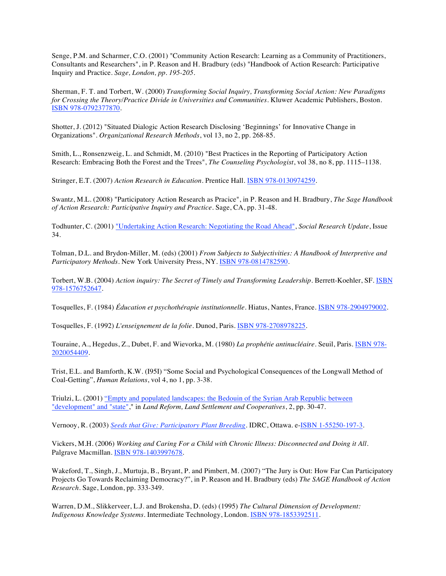Senge, P.M. and Scharmer, C.O. (2001) "Community Action Research: Learning as a Community of Practitioners, Consultants and Researchers", in P. Reason and H. Bradbury (eds) "Handbook of Action Research: Participative Inquiry and Practice*. Sage, London, pp. 195-205.*

Sherman, F. T. and Torbert, W. (2000) *Transforming Social Inquiry, Transforming Social Action: New Paradigms for Crossing the Theory/Practice Divide in Universities and Communities*. Kluwer Academic Publishers, Boston. ISBN 978-0792377870.

Shotter, J. (2012) "Situated Dialogic Action Research Disclosing 'Beginnings' for Innovative Change in Organizations". *Organizational Research Methods*, vol 13, no 2, pp. 268-85.

Smith, L., Ronsenzweig, L. and Schmidt, M. (2010) "Best Practices in the Reporting of Participatory Action Research: Embracing Both the Forest and the Trees", *The Counseling Psychologist*, vol 38, no 8, pp. 1115–1138.

Stringer, E.T. (2007) *Action Research in Education*. Prentice Hall. ISBN 978-0130974259.

Swantz, M.L. (2008) "Participatory Action Research as Pracice", in P. Reason and H. Bradbury, *The Sage Handbook of Action Research: Participative Inquiry and Practice*. Sage, CA, pp. 31-48.

Todhunter, C. (2001) "Undertaking Action Research: Negotiating the Road Ahead", *Social Research Update*, Issue 34.

Tolman, D.L. and Brydon-Miller, M. (eds) (2001) *From Subjects to Subjectivities: A Handbook of Interpretive and Participatory Methods*. New York University Press, NY. ISBN 978-0814782590.

Torbert, W.B. (2004) *Action inquiry: The Secret of Timely and Transforming Leadership*. Berrett-Koehler, SF. ISBN 978-1576752647.

Tosquelles, F. (1984) *Éducation et psychothérapie institutionnelle*. Hiatus, Nantes, France. ISBN 978-2904979002.

Tosquelles, F. (1992) *L'enseignement de la folie*. Dunod, Paris. ISBN 978-2708978225.

Touraine, A., Hegedus, Z., Dubet, F. and Wievorka, M. (1980) *La prophétie antinucléaire*. Seuil, Paris. ISBN 978- 2020054409.

Trist, E.L. and Bamforth, K.W. (I95I) "Some Social and Psychological Consequences of the Longwall Method of Coal-Getting", *Human Relations*, vol 4, no 1, pp. 3-38.

Triulzi, L. (2001) "Empty and populated landscapes: the Bedouin of the Syrian Arab Republic between "development" and "state"," in *Land Reform, Land Settlement and Cooperatives*, 2, pp. 30-47.

Vernooy, R. (2003) *Seeds that Give: Participatory Plant Breeding*. IDRC, Ottawa. e-ISBN 1-55250-197-3.

Vickers, M.H. (2006) *Working and Caring For a Child with Chronic Illness: Disconnected and Doing it All*. Palgrave Macmillan. ISBN 978-1403997678.

Wakeford, T., Singh, J., Murtuja, B., Bryant, P. and Pimbert, M. (2007) "The Jury is Out: How Far Can Participatory Projects Go Towards Reclaiming Democracy?", in P. Reason and H. Bradbury (eds) *The SAGE Handbook of Action Research*. Sage, London, pp. 333-349.

Warren, D.M., Slikkerveer, L.J. and Brokensha, D. (eds) (1995) *The Cultural Dimension of Development: Indigenous Knowledge Systems*. Intermediate Technology, London. ISBN 978-1853392511.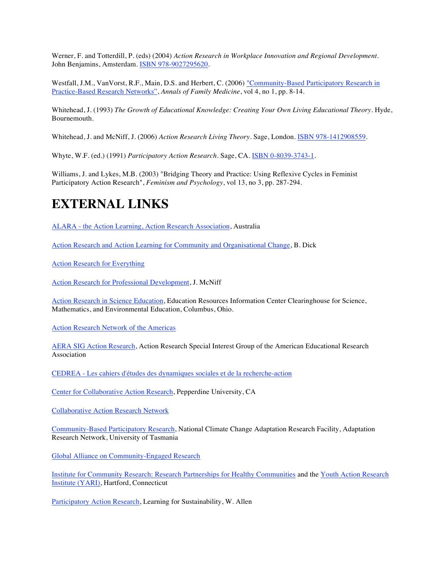Werner, F. and Totterdill, P. (eds) (2004) *Action Research in Workplace Innovation and Regional Development*. John Benjamins, Amsterdam. ISBN 978-9027295620.

Westfall, J.M., VanVorst, R.F., Main, D.S. and Herbert, C. (2006) "Community-Based Participatory Research in Practice-Based Research Networks", *Annals of Family Medicine*, vol 4, no 1, pp. 8-14.

Whitehead, J. (1993) *The Growth of Educational Knowledge: Creating Your Own Living Educational Theory*. Hyde, Bournemouth.

Whitehead, J. and McNiff, J. (2006) *Action Research Living Theory*. Sage, London. ISBN 978-1412908559.

Whyte, W.F. (ed.) (1991) *Participatory Action Research*. Sage, CA. ISBN 0-8039-3743-1.

Williams, J. and Lykes, M.B. (2003) "Bridging Theory and Practice: Using Reflexive Cycles in Feminist Participatory Action Research", *Feminism and Psychology*, vol 13, no 3, pp. 287-294.

### **EXTERNAL LINKS**

ALARA - the Action Learning, Action Research Association, Australia

Action Research and Action Learning for Community and Organisational Change, B. Dick

Action Research for Everything

Action Research for Professional Development, J. McNiff

Action Research in Science Education, Education Resources Information Center Clearinghouse for Science, Mathematics, and Environmental Education, Columbus, Ohio.

Action Research Network of the Americas

AERA SIG Action Research, Action Research Special Interest Group of the American Educational Research Association

CEDREA - Les cahiers d'études des dynamiques sociales et de la recherche-action

Center for Collaborative Action Research, Pepperdine University, CA

Collaborative Action Research Network

Community-Based Participatory Research, National Climate Change Adaptation Research Facility, Adaptation Research Network, University of Tasmania

Global Alliance on Community-Engaged Research

Institute for Community Research: Research Partnerships for Healthy Communities and the Youth Action Research Institute (YARI), Hartford, Connecticut

Participatory Action Research, Learning for Sustainability, W. Allen